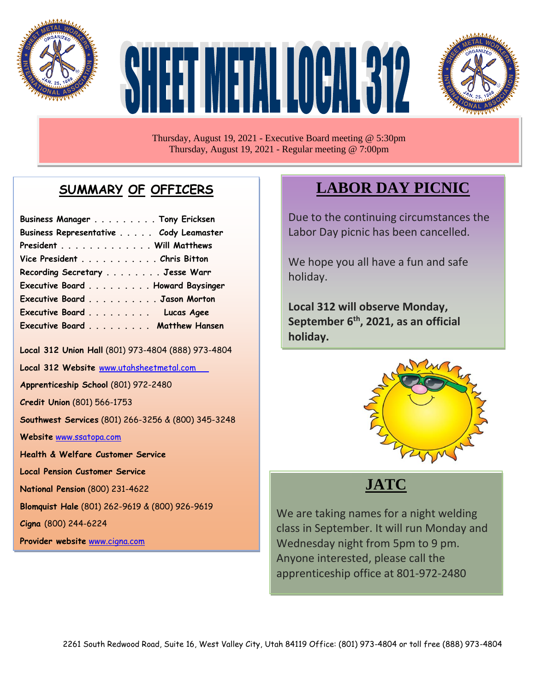

# HET HIJ ET ALLOCAN EST2



Thursday, August 19, 2021 - Executive Board meeting @ 5:30pm Thursday, August 19, 2021 - Regular meeting @ 7:00pm

## **SUMMARY OF OFFICERS**

| Business Manager Tony Ericksen         |  |
|----------------------------------------|--|
| Business Representative Cody Leamaster |  |
| President Will Matthews                |  |
| Vice President Chris Bitton            |  |
| Recording Secretary Jesse Warr         |  |
| Executive Board Howard Baysinger       |  |
| Executive Board Jason Morton           |  |
| Executive Board Lucas Agee             |  |
| Executive Board Matthew Hansen         |  |

**Local 312 Union Hall** (801) 973-4804 (888) 973-4804

**Local 312 Website** [www.utahsheetmetal.com](http://www.utahsheetmetal.com/)

**Apprenticeship School** (801) 972-2480

**Credit Union** (801) 566-1753

**Southwest Services** (801) 266-3256 & (800) 345-3248

**Website** [www.ssatopa.com](http://www.ssatopa.com/)

**Health & Welfare Customer Service**

**Local Pension Customer Service**

**National Pension** (800) 231-4622

**Blomquist Hale** (801) 262-9619 & (800) 926-9619

**Cigna** (800) 244-6224

**Provider website** [www.cigna.com](http://www.cigna.com/)

# **LABOR DAY PICNIC**

Due to the continuing circumstances the Labor Day picnic has been cancelled.

We hope you all have a fun and safe holiday.

**Local 312 will observe Monday, September 6th , 2021, as an official holiday.**



# **JATC**

 class in September. It will run Monday and We are taking names for a night welding Wednesday night from 5pm to 9 pm. Anyone interested, please call the apprenticeship office at 801-972-2480